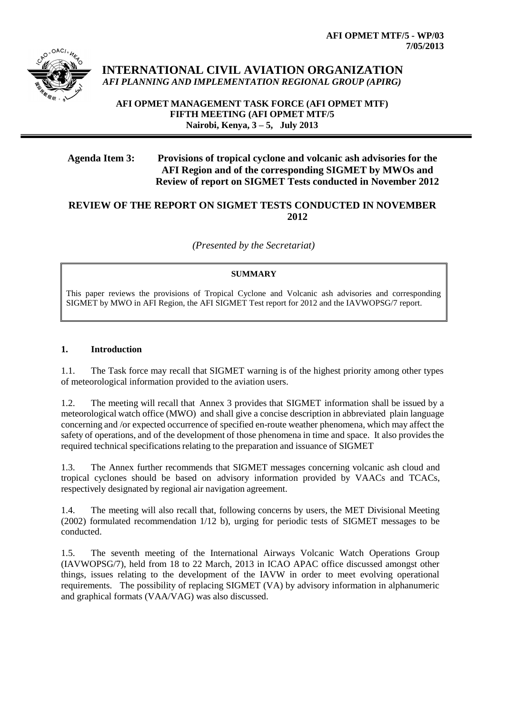

**INTERNATIONAL CIVIL AVIATION ORGANIZATION** *AFI PLANNING AND IMPLEMENTATION REGIONAL GROUP (APIRG)*

**AFI OPMET MANAGEMENT TASK FORCE (AFI OPMET MTF) FIFTH MEETING (AFI OPMET MTF/5 Nairobi, Kenya, 3 – 5, July 2013**

# **Agenda Item 3: Provisions of tropical cyclone and volcanic ash advisories for the AFI Region and of the corresponding SIGMET by MWOs and Review of report on SIGMET Tests conducted in November 2012**

## **REVIEW OF THE REPORT ON SIGMET TESTS CONDUCTED IN NOVEMBER 2012**

*(Presented by the Secretariat)*

#### **SUMMARY**

This paper reviews the provisions of Tropical Cyclone and Volcanic ash advisories and corresponding SIGMET by MWO in AFI Region, the AFI SIGMET Test report for 2012 and the IAVWOPSG/7 report.

#### **1. Introduction**

1.1. The Task force may recall that SIGMET warning is of the highest priority among other types of meteorological information provided to the aviation users.

1.2. The meeting will recall that Annex 3 provides that SIGMET information shall be issued by a meteorological watch office (MWO) and shall give a concise description in abbreviated plain language concerning and /or expected occurrence of specified en-route weather phenomena, which may affect the safety of operations, and of the development of those phenomena in time and space. It also provides the required technical specifications relating to the preparation and issuance of SIGMET

1.3. The Annex further recommends that SIGMET messages concerning volcanic ash cloud and tropical cyclones should be based on advisory information provided by VAACs and TCACs, respectively designated by regional air navigation agreement.

1.4. The meeting will also recall that, following concerns by users, the MET Divisional Meeting (2002) formulated recommendation 1/12 b), urging for periodic tests of SIGMET messages to be conducted.

1.5. The seventh meeting of the International Airways Volcanic Watch Operations Group (IAVWOPSG/7), held from 18 to 22 March, 2013 in ICAO APAC office discussed amongst other things, issues relating to the development of the IAVW in order to meet evolving operational requirements. The possibility of replacing SIGMET (VA) by advisory information in alphanumeric and graphical formats (VAA/VAG) was also discussed.